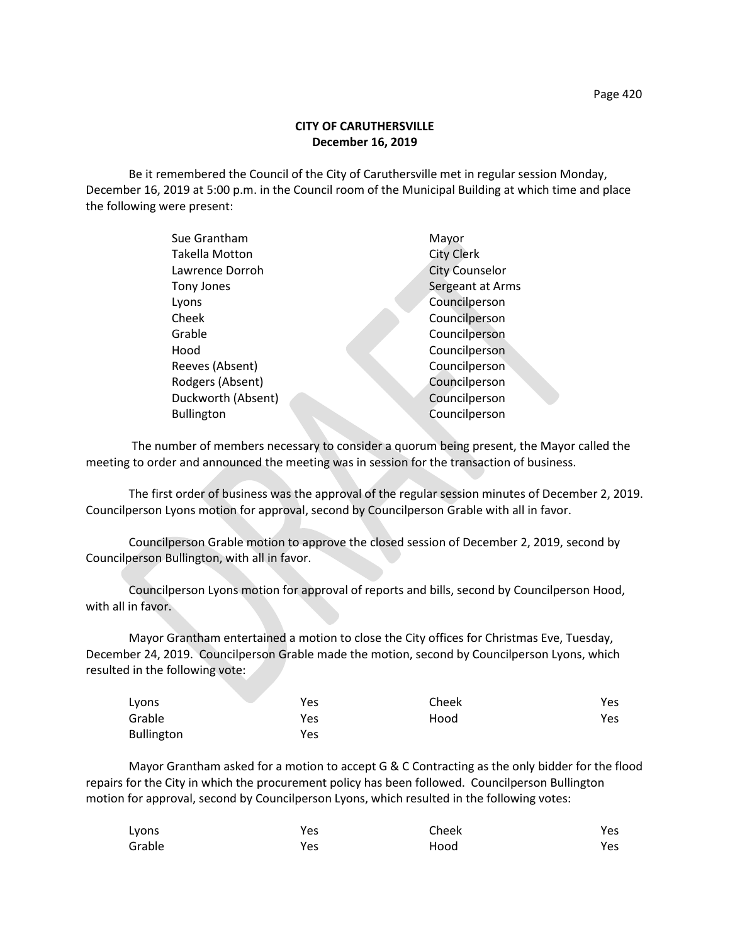Be it remembered the Council of the City of Caruthersville met in regular session Monday, December 16, 2019 at 5:00 p.m. in the Council room of the Municipal Building at which time and place the following were present:

| Sue Grantham          | Mayor                 |
|-----------------------|-----------------------|
| <b>Takella Motton</b> | <b>City Clerk</b>     |
| Lawrence Dorroh       | <b>City Counselor</b> |
| Tony Jones            | Sergeant at Arms      |
| Lyons                 | Councilperson         |
| Cheek                 | Councilperson         |
| Grable                | Councilperson         |
| Hood                  | Councilperson         |
| Reeves (Absent)       | Councilperson         |
| Rodgers (Absent)      | Councilperson         |
| Duckworth (Absent)    | Councilperson         |
| <b>Bullington</b>     | Councilperson         |
|                       |                       |

 The number of members necessary to consider a quorum being present, the Mayor called the meeting to order and announced the meeting was in session for the transaction of business.

The first order of business was the approval of the regular session minutes of December 2, 2019. Councilperson Lyons motion for approval, second by Councilperson Grable with all in favor.

Councilperson Grable motion to approve the closed session of December 2, 2019, second by Councilperson Bullington, with all in favor.

Councilperson Lyons motion for approval of reports and bills, second by Councilperson Hood, with all in favor.

Mayor Grantham entertained a motion to close the City offices for Christmas Eve, Tuesday, December 24, 2019. Councilperson Grable made the motion, second by Councilperson Lyons, which resulted in the following vote:

| Lyons      | Yes | Cheek | Yes |
|------------|-----|-------|-----|
| Grable     | Yes | Hood  | Yes |
| Bullington | Yes |       |     |

Mayor Grantham asked for a motion to accept G & C Contracting as the only bidder for the flood repairs for the City in which the procurement policy has been followed. Councilperson Bullington motion for approval, second by Councilperson Lyons, which resulted in the following votes:

| Lyons  | Yes | Cheek | Yes |
|--------|-----|-------|-----|
| Grable | Yes | Hood  | Yes |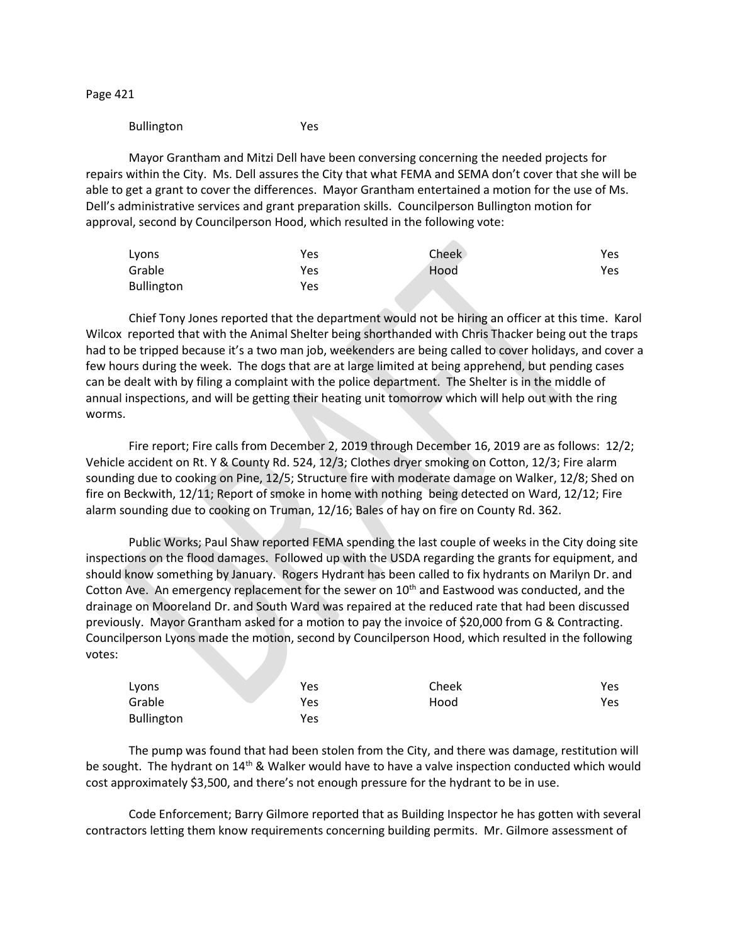Page 421

## Bullington Yes

Mayor Grantham and Mitzi Dell have been conversing concerning the needed projects for repairs within the City. Ms. Dell assures the City that what FEMA and SEMA don't cover that she will be able to get a grant to cover the differences. Mayor Grantham entertained a motion for the use of Ms. Dell's administrative services and grant preparation skills. Councilperson Bullington motion for approval, second by Councilperson Hood, which resulted in the following vote:

| Lyons      | Yes | Cheek | Yes |
|------------|-----|-------|-----|
| Grable     | Yes | Hood  | Yes |
| Bullington | Yes |       |     |

Chief Tony Jones reported that the department would not be hiring an officer at this time. Karol Wilcox reported that with the Animal Shelter being shorthanded with Chris Thacker being out the traps had to be tripped because it's a two man job, weekenders are being called to cover holidays, and cover a few hours during the week. The dogs that are at large limited at being apprehend, but pending cases can be dealt with by filing a complaint with the police department. The Shelter is in the middle of annual inspections, and will be getting their heating unit tomorrow which will help out with the ring worms.

Fire report; Fire calls from December 2, 2019 through December 16, 2019 are as follows: 12/2; Vehicle accident on Rt. Y & County Rd. 524, 12/3; Clothes dryer smoking on Cotton, 12/3; Fire alarm sounding due to cooking on Pine, 12/5; Structure fire with moderate damage on Walker, 12/8; Shed on fire on Beckwith, 12/11; Report of smoke in home with nothing being detected on Ward, 12/12; Fire alarm sounding due to cooking on Truman, 12/16; Bales of hay on fire on County Rd. 362.

Public Works; Paul Shaw reported FEMA spending the last couple of weeks in the City doing site inspections on the flood damages. Followed up with the USDA regarding the grants for equipment, and should know something by January. Rogers Hydrant has been called to fix hydrants on Marilyn Dr. and Cotton Ave. An emergency replacement for the sewer on 10<sup>th</sup> and Eastwood was conducted, and the drainage on Mooreland Dr. and South Ward was repaired at the reduced rate that had been discussed previously. Mayor Grantham asked for a motion to pay the invoice of \$20,000 from G & Contracting. Councilperson Lyons made the motion, second by Councilperson Hood, which resulted in the following votes:

| Lyons      | Yes | Cheek | Yes |
|------------|-----|-------|-----|
| Grable     | Yes | Hood  | Yes |
| Bullington | Yes |       |     |

The pump was found that had been stolen from the City, and there was damage, restitution will be sought. The hydrant on 14<sup>th</sup> & Walker would have to have a valve inspection conducted which would cost approximately \$3,500, and there's not enough pressure for the hydrant to be in use.

Code Enforcement; Barry Gilmore reported that as Building Inspector he has gotten with several contractors letting them know requirements concerning building permits. Mr. Gilmore assessment of